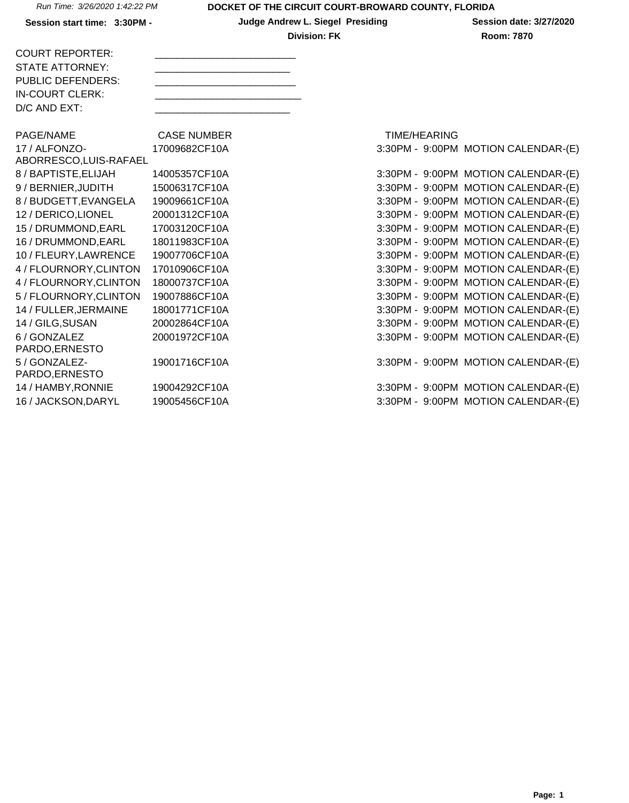Session start time: 3:30PM - **Judge Andrew L. Siegel Presiding** Session date: 3/27/2020 **Division: FK** Room: 7870

| <b>COURT REPORTER:</b>   |  |
|--------------------------|--|
|                          |  |
| STATE ATTORNEY:          |  |
| <b>PUBLIC DEFENDERS:</b> |  |
| IN-COURT CLERK:          |  |
| $D/C$ AND $EXT$ :        |  |
|                          |  |

PAGE/NAME CASE NUMBER 17 / ALFONZO-ABORRESCO,LUIS-RAFAEL 17009682CF10A 8 / BAPTISTE, ELIJAH 14005357CF10A 9 / BERNIER, JUDITH 15006317CF10A 8 / BUDGETT, EVANGELA 19009661 CF10A 12 / DERICO,LIONEL 20001312CF10A 15 / DRUMMOND, EARL 17003120CF10A 16 / DRUMMOND, EARL 18011983CF10A 10 / FLEURY,LAWRENCE 19007706CF10A 4 / FLOURNORY, CLINTON 17010906CF10A 4 / FLOURNORY, CLINTON 18000737CF10A 5 / FLOURNORY, CLINTON 19007886CF10A 14 / FULLER, JERMAINE 18001771CF10A 14 / GILG,SUSAN 20002864CF10A 6 / GONZALEZ PARDO,ERNESTO 20001972CF10A 5 / GONZALEZ-PARDO,ERNESTO 19001716CF10A 14 / HAMBY, RONNIE 19004292CF10A 16 / JACKSON,DARYL 19005456CF10A 3:30PM - 9:00PM MOTION CALENDAR-(E)

|                 | <b>TIME/HEARING</b> |                                     |
|-----------------|---------------------|-------------------------------------|
|                 |                     | 3:30PM - 9:00PM MOTION CALENDAR-(E) |
|                 |                     |                                     |
| $3:30PM -$      | 9:00PM              | <b>MOTION CALENDAR-(E)</b>          |
| 3:30PM -        | 9:00PM              | <b>MOTION CALENDAR-(E)</b>          |
| 3:30PM -        | 9:00PM              | <b>MOTION CALENDAR-(E)</b>          |
| 3:30PM -        | 9:00PM              | <b>MOTION CALENDAR-(E)</b>          |
| 3:30PM -        | $9:00$ PM           | <b>MOTION CALENDAR-(E)</b>          |
| 3:30PM -        | 9:00PM              | <b>MOTION CALENDAR-(E)</b>          |
| 3:30PM -        | 9:00PM              | <b>MOTION CALENDAR-(E)</b>          |
| 3:30PM -        | 9:00PM              | <b>MOTION CALENDAR-(E)</b>          |
| 3:30PM -        | $9:00$ PM           | <b>MOTION CALENDAR-(E)</b>          |
| 3:30PM -        | 9:00PM              | <b>MOTION CALENDAR-(E)</b>          |
| 3:30PM -        | 9:00PM              | <b>MOTION CALENDAR-(E)</b>          |
| 3:30PM -        | 9:00PM              | <b>MOTION CALENDAR-(E)</b>          |
| 3:30PM -        | 9:00PM              | <b>MOTION CALENDAR-(E)</b>          |
|                 |                     |                                     |
|                 |                     | 3:30PM - 9:00PM MOTION CALENDAR-(E) |
|                 |                     |                                     |
|                 |                     | 3:30PM - 9:00PM MOTION CALENDAR-(E) |
| 3:30PM - 9:00PM |                     | MOTION CAI FNDAR-(F)                |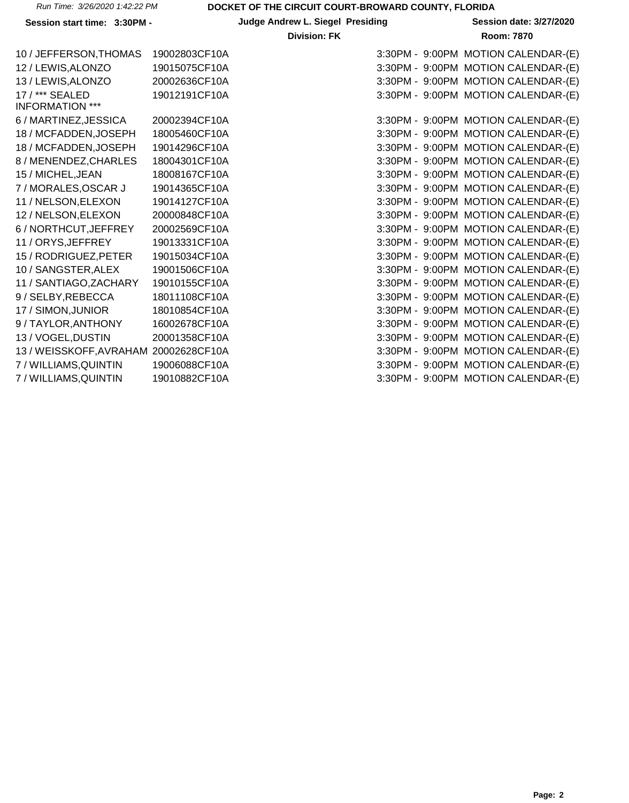# **Session start time: 3:30PM - <br>
<b>Judge Andrew L. Siegel Presiding Session date: 3/27/2020**

| 10 / JEFFERSON, THOMAS                | 19002803CF10A | 3:30PM - 9:00PM MOTION CALENDAR-(E) |
|---------------------------------------|---------------|-------------------------------------|
|                                       |               |                                     |
| 12 / LEWIS, ALONZO                    | 19015075CF10A | 3:30PM - 9:00PM MOTION CALENDAR-(E) |
| 13 / LEWIS, ALONZO                    | 20002636CF10A | 3:30PM - 9:00PM MOTION CALENDAR-(E) |
| 17 / *** SEALED                       | 19012191CF10A | 3:30PM - 9:00PM MOTION CALENDAR-(E) |
| <b>INFORMATION ***</b>                |               |                                     |
| 6 / MARTINEZ,JESSICA                  | 20002394CF10A | 3:30PM - 9:00PM MOTION CALENDAR-(E) |
| 18 / MCFADDEN, JOSEPH                 | 18005460CF10A | 3:30PM - 9:00PM MOTION CALENDAR-(E) |
| 18 / MCFADDEN, JOSEPH                 | 19014296CF10A | 3:30PM - 9:00PM MOTION CALENDAR-(E) |
| 8 / MENENDEZ, CHARLES                 | 18004301CF10A | 3:30PM - 9:00PM MOTION CALENDAR-(E) |
| 15 / MICHEL, JEAN                     | 18008167CF10A | 3:30PM - 9:00PM MOTION CALENDAR-(E) |
| 7 / MORALES, OSCAR J                  | 19014365CF10A | 3:30PM - 9:00PM MOTION CALENDAR-(E) |
| 11 / NELSON, ELEXON                   | 19014127CF10A | 3:30PM - 9:00PM MOTION CALENDAR-(E) |
| 12 / NELSON, ELEXON                   | 20000848CF10A | 3:30PM - 9:00PM MOTION CALENDAR-(E) |
| 6 / NORTHCUT, JEFFREY                 | 20002569CF10A | 3:30PM - 9:00PM MOTION CALENDAR-(E) |
| 11 / ORYS, JEFFREY                    | 19013331CF10A | 3:30PM - 9:00PM MOTION CALENDAR-(E) |
| 15 / RODRIGUEZ, PETER                 | 19015034CF10A | 3:30PM - 9:00PM MOTION CALENDAR-(E) |
| 10 / SANGSTER, ALEX                   | 19001506CF10A | 3:30PM - 9:00PM MOTION CALENDAR-(E) |
| 11 / SANTIAGO, ZACHARY                | 19010155CF10A | 3:30PM - 9:00PM MOTION CALENDAR-(E) |
| 9 / SELBY, REBECCA                    | 18011108CF10A | 3:30PM - 9:00PM MOTION CALENDAR-(E) |
| 17 / SIMON, JUNIOR                    | 18010854CF10A | 3:30PM - 9:00PM MOTION CALENDAR-(E) |
| 9 / TAYLOR, ANTHONY                   | 16002678CF10A | 3:30PM - 9:00PM MOTION CALENDAR-(E) |
| 13 / VOGEL, DUSTIN                    | 20001358CF10A | 3:30PM - 9:00PM MOTION CALENDAR-(E) |
| 13 / WEISSKOFF, AVRAHAM 20002628CF10A |               | 3:30PM - 9:00PM MOTION CALENDAR-(E) |
| 7 / WILLIAMS, QUINTIN                 | 19006088CF10A | 3:30PM - 9:00PM MOTION CALENDAR-(E) |
| 7/WILLIAMS.QUINTIN                    | 19010882CF10A | 3:30PM - 9:00PM MOTION CALENDAR-(E) |

| 10 / JEFFERSON, THOMAS                | 19002803CF10A |  | 3:30PM - 9:00PM MOTION CALENDAR-(E) |
|---------------------------------------|---------------|--|-------------------------------------|
| 12 / LEWIS, ALONZO                    | 19015075CF10A |  | 3:30PM - 9:00PM MOTION CALENDAR-(E) |
| 13 / LEWIS, ALONZO                    | 20002636CF10A |  | 3:30PM - 9:00PM MOTION CALENDAR-(E) |
| 17 / *** SEALED                       | 19012191CF10A |  | 3:30PM - 9:00PM MOTION CALENDAR-(E) |
| <b>INFORMATION ***</b>                |               |  |                                     |
| 6 / MARTINEZ,JESSICA                  | 20002394CF10A |  | 3:30PM - 9:00PM MOTION CALENDAR-(E) |
| 18 / MCFADDEN, JOSEPH                 | 18005460CF10A |  | 3:30PM - 9:00PM MOTION CALENDAR-(E) |
| 18 / MCFADDEN, JOSEPH                 | 19014296CF10A |  | 3:30PM - 9:00PM MOTION CALENDAR-(E) |
| 8 / MENENDEZ, CHARLES                 | 18004301CF10A |  | 3:30PM - 9:00PM MOTION CALENDAR-(E) |
| 15 / MICHEL, JEAN                     | 18008167CF10A |  | 3:30PM - 9:00PM MOTION CALENDAR-(E) |
| 7 / MORALES, OSCAR J                  | 19014365CF10A |  | 3:30PM - 9:00PM MOTION CALENDAR-(E) |
| 11 / NELSON,ELEXON                    | 19014127CF10A |  | 3:30PM - 9:00PM MOTION CALENDAR-(E) |
| 12 / NELSON, ELEXON                   | 20000848CF10A |  | 3:30PM - 9:00PM MOTION CALENDAR-(E) |
| 6 / NORTHCUT, JEFFREY                 | 20002569CF10A |  | 3:30PM - 9:00PM MOTION CALENDAR-(E) |
| 11 / ORYS, JEFFREY                    | 19013331CF10A |  | 3:30PM - 9:00PM MOTION CALENDAR-(E) |
| 15 / RODRIGUEZ, PETER                 | 19015034CF10A |  | 3:30PM - 9:00PM MOTION CALENDAR-(E) |
| 10 / SANGSTER, ALEX                   | 19001506CF10A |  | 3:30PM - 9:00PM MOTION CALENDAR-(E) |
| 11 / SANTIAGO,ZACHARY                 | 19010155CF10A |  | 3:30PM - 9:00PM MOTION CALENDAR-(E) |
| 9 / SELBY, REBECCA                    | 18011108CF10A |  | 3:30PM - 9:00PM MOTION CALENDAR-(E) |
| 17 / SIMON, JUNIOR                    | 18010854CF10A |  | 3:30PM - 9:00PM MOTION CALENDAR-(E) |
| 9 / TAYLOR,ANTHONY                    | 16002678CF10A |  | 3:30PM - 9:00PM MOTION CALENDAR-(E) |
| 13 / VOGEL, DUSTIN                    | 20001358CF10A |  | 3:30PM - 9:00PM MOTION CALENDAR-(E) |
| 13 / WEISSKOFF, AVRAHAM 20002628CF10A |               |  | 3:30PM - 9:00PM MOTION CALENDAR-(E) |
| 7 / WILLIAMS, QUINTIN                 | 19006088CF10A |  | 3:30PM - 9:00PM MOTION CALENDAR-(E) |
| 7 / WILLIAMS, QUINTIN                 | 19010882CF10A |  | 3:30PM - 9:00PM MOTION CALENDAR-(E) |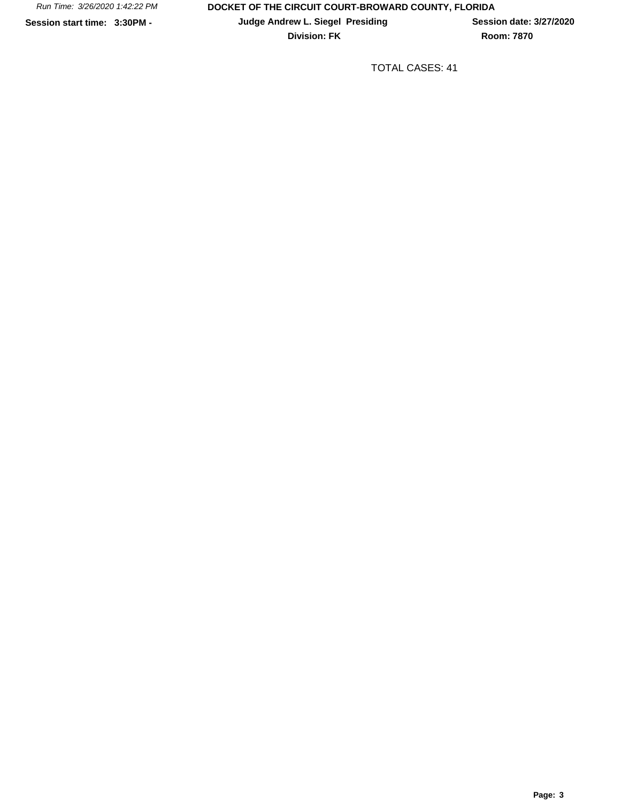**Division: FK Room: 7870** 

TOTAL CASES: 41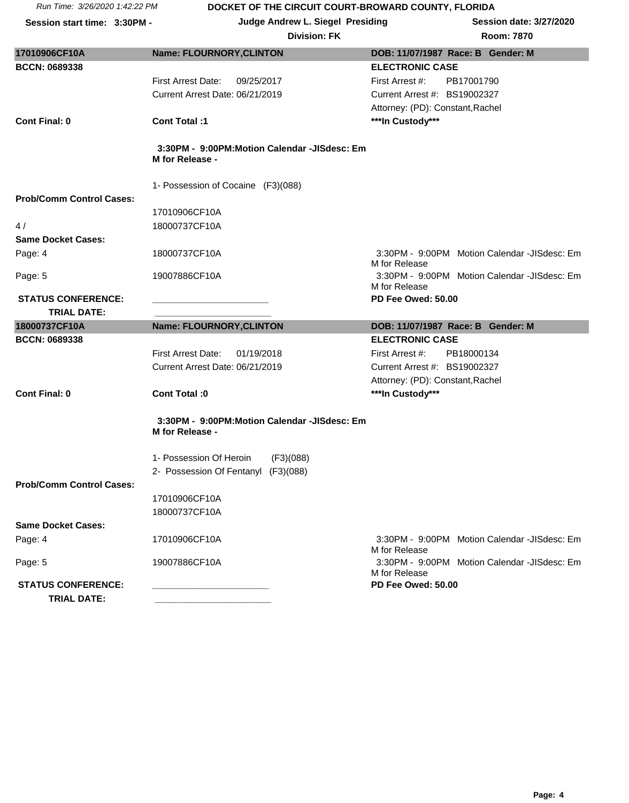Session start time: 3:30PM - **Judge Andrew L. Siegel Presiding** Session date: 3/27/2020

|  | oom: 7870 |  |
|--|-----------|--|

| 17010906CF10A                                   | <b>Name: FLOURNORY, CLINTON</b>                                 | DOB: 11/07/1987 Race: B Gender: M                             |
|-------------------------------------------------|-----------------------------------------------------------------|---------------------------------------------------------------|
| <b>BCCN: 0689338</b>                            |                                                                 | <b>ELECTRONIC CASE</b>                                        |
|                                                 | <b>First Arrest Date:</b><br>09/25/2017                         | First Arrest #:<br>PB17001790                                 |
|                                                 | Current Arrest Date: 06/21/2019                                 | Current Arrest #: BS19002327                                  |
|                                                 |                                                                 | Attorney: (PD): Constant, Rachel                              |
| <b>Cont Final: 0</b>                            | <b>Cont Total:1</b>                                             | ***In Custody***                                              |
|                                                 |                                                                 |                                                               |
|                                                 | 3:30PM - 9:00PM:Motion Calendar -JISdesc: Em<br>M for Release - |                                                               |
|                                                 | 1- Possession of Cocaine (F3)(088)                              |                                                               |
| <b>Prob/Comm Control Cases:</b>                 |                                                                 |                                                               |
|                                                 | 17010906CF10A                                                   |                                                               |
| 4/                                              | 18000737CF10A                                                   |                                                               |
| <b>Same Docket Cases:</b>                       |                                                                 |                                                               |
| Page: 4                                         | 18000737CF10A                                                   | 3:30PM - 9:00PM Motion Calendar -JISdesc: Em<br>M for Release |
| Page: 5                                         | 19007886CF10A                                                   | 3:30PM - 9:00PM Motion Calendar -JISdesc: Em<br>M for Release |
| <b>STATUS CONFERENCE:</b>                       |                                                                 | PD Fee Owed: 50.00                                            |
| <b>TRIAL DATE:</b>                              |                                                                 |                                                               |
|                                                 |                                                                 |                                                               |
| 18000737CF10A                                   | <b>Name: FLOURNORY, CLINTON</b>                                 | DOB: 11/07/1987 Race: B Gender: M                             |
| <b>BCCN: 0689338</b>                            |                                                                 | <b>ELECTRONIC CASE</b>                                        |
|                                                 | <b>First Arrest Date:</b><br>01/19/2018                         | First Arrest #:<br>PB18000134                                 |
|                                                 | Current Arrest Date: 06/21/2019                                 | Current Arrest #: BS19002327                                  |
|                                                 |                                                                 | Attorney: (PD): Constant, Rachel                              |
| <b>Cont Final: 0</b>                            | Cont Total: 0                                                   | ***In Custody***                                              |
|                                                 | 3:30PM - 9:00PM:Motion Calendar -JISdesc: Em<br>M for Release - |                                                               |
|                                                 |                                                                 |                                                               |
|                                                 | 1- Possession Of Heroin<br>(F3)(088)                            |                                                               |
| <b>Prob/Comm Control Cases:</b>                 | 2- Possession Of Fentanyl<br>(F3)(088)                          |                                                               |
|                                                 |                                                                 |                                                               |
|                                                 | 17010906CF10A                                                   |                                                               |
| <b>Same Docket Cases:</b>                       | 18000737CF10A                                                   |                                                               |
| Page: 4                                         | 17010906CF10A                                                   | 3:30PM - 9:00PM Motion Calendar -JISdesc: Em<br>M for Release |
| Page: 5                                         | 19007886CF10A                                                   | 3:30PM - 9:00PM Motion Calendar -JISdesc: Em<br>M for Release |
| <b>STATUS CONFERENCE:</b><br><b>TRIAL DATE:</b> |                                                                 | PD Fee Owed: 50.00                                            |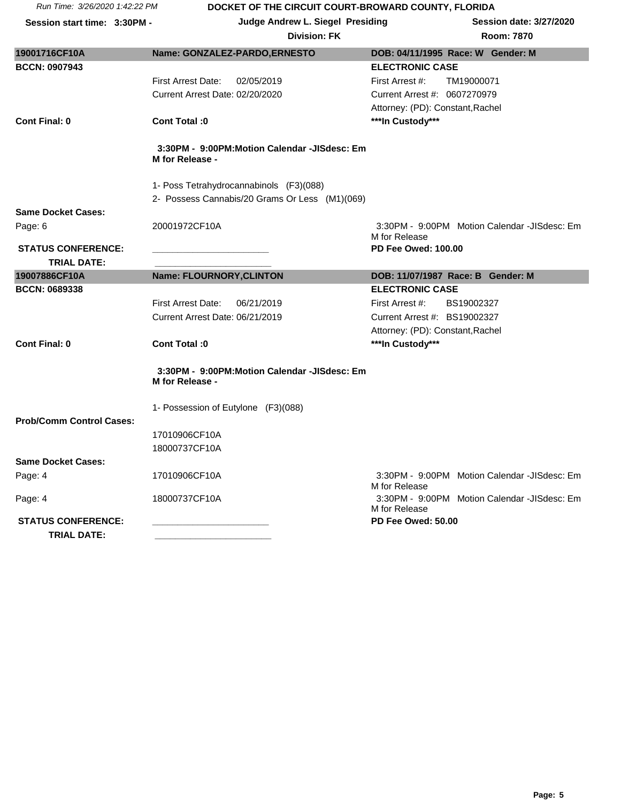| Run Time: 3/26/2020 1:42:22 PM |  |
|--------------------------------|--|
|                                |  |

## **DOCKET OF THE CIRCUIT COURT-BROWARD COUNTY, FLORIDA**

| Session start time: 3:30PM -    | Judge Andrew L. Siegel Presiding                                | <b>Session date: 3/27/2020</b>                                |
|---------------------------------|-----------------------------------------------------------------|---------------------------------------------------------------|
|                                 | <b>Division: FK</b>                                             | Room: 7870                                                    |
| 19001716CF10A                   | Name: GONZALEZ-PARDO, ERNESTO                                   | DOB: 04/11/1995 Race: W Gender: M                             |
| <b>BCCN: 0907943</b>            |                                                                 | <b>ELECTRONIC CASE</b>                                        |
|                                 | <b>First Arrest Date:</b><br>02/05/2019                         | First Arrest #:<br>TM19000071                                 |
|                                 | Current Arrest Date: 02/20/2020                                 | Current Arrest #: 0607270979                                  |
|                                 |                                                                 | Attorney: (PD): Constant, Rachel                              |
| <b>Cont Final: 0</b>            | Cont Total :0                                                   | ***In Custody***                                              |
|                                 | 3:30PM - 9:00PM:Motion Calendar -JISdesc: Em<br>M for Release - |                                                               |
|                                 | 1- Poss Tetrahydrocannabinols (F3)(088)                         |                                                               |
|                                 | 2- Possess Cannabis/20 Grams Or Less (M1)(069)                  |                                                               |
| <b>Same Docket Cases:</b>       |                                                                 |                                                               |
| Page: 6                         | 20001972CF10A                                                   | 3:30PM - 9:00PM Motion Calendar -JISdesc: Em<br>M for Release |
| <b>STATUS CONFERENCE:</b>       |                                                                 | <b>PD Fee Owed: 100.00</b>                                    |
| <b>TRIAL DATE:</b>              |                                                                 |                                                               |
| 19007886CF10A                   | <b>Name: FLOURNORY, CLINTON</b>                                 | DOB: 11/07/1987 Race: B Gender: M                             |
| <b>BCCN: 0689338</b>            |                                                                 | <b>ELECTRONIC CASE</b>                                        |
|                                 | <b>First Arrest Date:</b><br>06/21/2019                         | First Arrest #:<br>BS19002327                                 |
|                                 | Current Arrest Date: 06/21/2019                                 | Current Arrest #: BS19002327                                  |
|                                 |                                                                 | Attorney: (PD): Constant, Rachel                              |
| <b>Cont Final: 0</b>            | Cont Total :0                                                   | ***In Custody***                                              |
|                                 | 3:30PM - 9:00PM:Motion Calendar -JISdesc: Em<br>M for Release - |                                                               |
|                                 | 1- Possession of Eutylone (F3)(088)                             |                                                               |
| <b>Prob/Comm Control Cases:</b> |                                                                 |                                                               |
|                                 | 17010906CF10A                                                   |                                                               |
|                                 | 18000737CF10A                                                   |                                                               |
| <b>Same Docket Cases:</b>       |                                                                 |                                                               |
| Page: 4                         | 17010906CF10A                                                   | 3:30PM - 9:00PM Motion Calendar -JISdesc: Em<br>M for Release |
| Page: 4                         | 18000737CF10A                                                   | 3:30PM - 9:00PM Motion Calendar -JISdesc: Em<br>M for Release |
| <b>STATUS CONFERENCE:</b>       |                                                                 | PD Fee Owed: 50.00                                            |
| <b>TRIAL DATE:</b>              |                                                                 |                                                               |
|                                 |                                                                 |                                                               |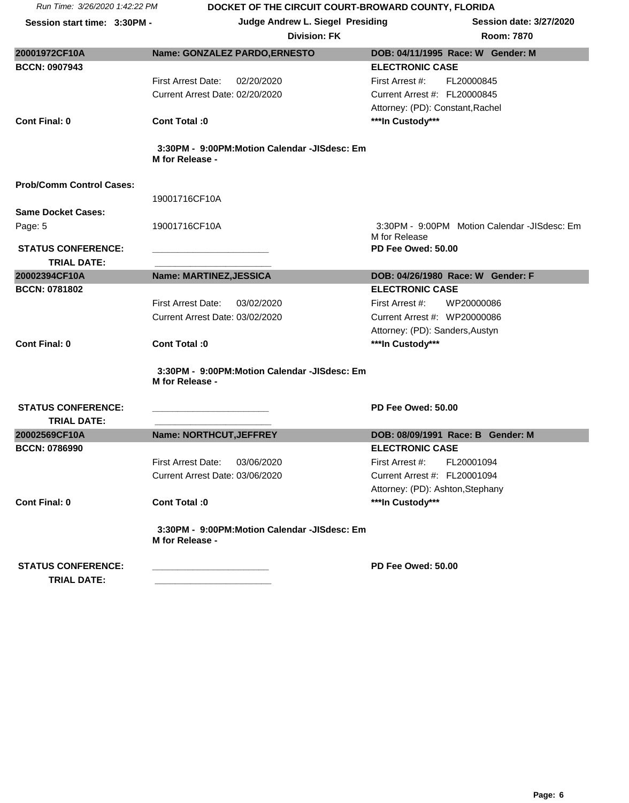|  | Run Time: 3/26/2020 1:42:22 PM |
|--|--------------------------------|
|  |                                |

## **DOCKET OF THE CIRCUIT COURT-BROWARD COUNTY, FLORIDA**

| <b>Division: FK</b> |                                    | Room: 7870 |
|---------------------|------------------------------------|------------|
| <b>ILCTO</b>        | DOD: 04/44/400E Dess: W. Cander: M |            |

| 20001972CF10A                   | Name: GONZALEZ PARDO, ERNESTO                | DOB: 04/11/1995 Race: W Gender: M            |  |  |  |
|---------------------------------|----------------------------------------------|----------------------------------------------|--|--|--|
|                                 |                                              |                                              |  |  |  |
| <b>BCCN: 0907943</b>            |                                              | <b>ELECTRONIC CASE</b>                       |  |  |  |
|                                 | <b>First Arrest Date:</b><br>02/20/2020      | First Arrest #:<br>FL20000845                |  |  |  |
|                                 | Current Arrest Date: 02/20/2020              | Current Arrest #: FL20000845                 |  |  |  |
|                                 |                                              | Attorney: (PD): Constant, Rachel             |  |  |  |
| <b>Cont Final: 0</b>            | Cont Total :0                                | ***In Custody***                             |  |  |  |
|                                 |                                              |                                              |  |  |  |
|                                 | 3:30PM - 9:00PM:Motion Calendar -JISdesc: Em |                                              |  |  |  |
|                                 | M for Release -                              |                                              |  |  |  |
|                                 |                                              |                                              |  |  |  |
| <b>Prob/Comm Control Cases:</b> |                                              |                                              |  |  |  |
|                                 | 19001716CF10A                                |                                              |  |  |  |
| <b>Same Docket Cases:</b>       |                                              |                                              |  |  |  |
| Page: 5                         | 19001716CF10A                                | 3:30PM - 9:00PM Motion Calendar -JISdesc: Em |  |  |  |
|                                 |                                              | M for Release                                |  |  |  |
| <b>STATUS CONFERENCE:</b>       |                                              | PD Fee Owed: 50.00                           |  |  |  |
| TRIAL DATE:                     |                                              |                                              |  |  |  |
| 20002394CF10A                   | Name: MARTINEZ, JESSICA                      | DOB: 04/26/1980 Race: W Gender: F            |  |  |  |
| <b>BCCN: 0781802</b>            |                                              | <b>ELECTRONIC CASE</b>                       |  |  |  |
|                                 | First Arrest Date:<br>03/02/2020             | First Arrest #:<br>WP20000086                |  |  |  |
|                                 | Current Arrest Date: 03/02/2020              | Current Arrest #: WP20000086                 |  |  |  |
|                                 |                                              | Attorney: (PD): Sanders, Austyn              |  |  |  |
| <b>Cont Final: 0</b>            | Cont Total: 0                                | ***In Custody***                             |  |  |  |
|                                 |                                              |                                              |  |  |  |
|                                 | 3:30PM - 9:00PM:Motion Calendar -JISdesc: Em |                                              |  |  |  |
|                                 | M for Release -                              |                                              |  |  |  |
|                                 |                                              |                                              |  |  |  |
| <b>STATUS CONFERENCE:</b>       |                                              | PD Fee Owed: 50.00                           |  |  |  |
| <b>TRIAL DATE:</b>              |                                              |                                              |  |  |  |
| 20002569CF10A                   | Name: NORTHCUT, JEFFREY                      | DOB: 08/09/1991 Race: B Gender: M            |  |  |  |
| <b>BCCN: 0786990</b>            |                                              | <b>ELECTRONIC CASE</b>                       |  |  |  |
|                                 | <b>First Arrest Date:</b><br>03/06/2020      | First Arrest #:<br>FL20001094                |  |  |  |
|                                 | Current Arrest Date: 03/06/2020              | Current Arrest #: FL20001094                 |  |  |  |
|                                 |                                              | Attorney: (PD): Ashton, Stephany             |  |  |  |
| <b>Cont Final: 0</b>            | Cont Total :0                                | ***In Custody***                             |  |  |  |
|                                 |                                              |                                              |  |  |  |
|                                 | 3:30PM - 9:00PM:Motion Calendar -JISdesc: Em |                                              |  |  |  |
|                                 | M for Release -                              |                                              |  |  |  |
|                                 |                                              |                                              |  |  |  |
| <b>STATUS CONFERENCE:</b>       |                                              | PD Fee Owed: 50.00                           |  |  |  |
| <b>TRIAL DATE:</b>              |                                              |                                              |  |  |  |
|                                 |                                              |                                              |  |  |  |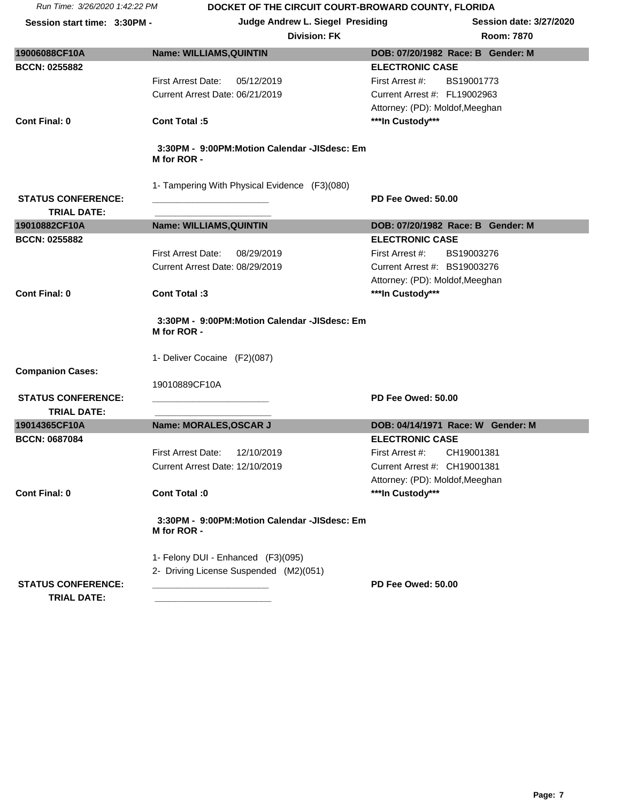| <b>Division: FK</b> | <b>Room: 7870</b> |
|---------------------|-------------------|
|                     |                   |

| 19006088CF10A<br><b>BCCN: 0255882</b> | Name: WILLIAMS, QUINTIN                                     | DOB: 07/20/1982 Race: B Gender: M<br><b>ELECTRONIC CASE</b> |
|---------------------------------------|-------------------------------------------------------------|-------------------------------------------------------------|
|                                       | <b>First Arrest Date:</b><br>05/12/2019                     | First Arrest #:<br>BS19001773                               |
|                                       | Current Arrest Date: 06/21/2019                             | Current Arrest #: FL19002963                                |
|                                       |                                                             | Attorney: (PD): Moldof, Meeghan                             |
| <b>Cont Final: 0</b>                  | <b>Cont Total:5</b>                                         | ***In Custody***                                            |
|                                       |                                                             |                                                             |
|                                       | 3:30PM - 9:00PM:Motion Calendar -JISdesc: Em                |                                                             |
|                                       | M for ROR -                                                 |                                                             |
|                                       |                                                             |                                                             |
| <b>STATUS CONFERENCE:</b>             | 1- Tampering With Physical Evidence (F3)(080)               | PD Fee Owed: 50.00                                          |
| <b>TRIAL DATE:</b>                    |                                                             |                                                             |
| 19010882CF10A                         | <b>Name: WILLIAMS, QUINTIN</b>                              | DOB: 07/20/1982 Race: B Gender: M                           |
| <b>BCCN: 0255882</b>                  |                                                             | <b>ELECTRONIC CASE</b>                                      |
|                                       | <b>First Arrest Date:</b><br>08/29/2019                     | BS19003276<br>First Arrest #:                               |
|                                       | Current Arrest Date: 08/29/2019                             | Current Arrest #: BS19003276                                |
|                                       |                                                             | Attorney: (PD): Moldof, Meeghan                             |
| <b>Cont Final: 0</b>                  | Cont Total:3                                                | ***In Custody***                                            |
|                                       | 3:30PM - 9:00PM:Motion Calendar -JISdesc: Em<br>M for ROR - |                                                             |
|                                       | 1- Deliver Cocaine (F2)(087)                                |                                                             |
| <b>Companion Cases:</b>               |                                                             |                                                             |
|                                       | 19010889CF10A                                               |                                                             |
| <b>STATUS CONFERENCE:</b>             |                                                             | PD Fee Owed: 50.00                                          |
| <b>TRIAL DATE:</b>                    |                                                             |                                                             |
| 19014365CF10A<br><b>BCCN: 0687084</b> | Name: MORALES, OSCAR J                                      | DOB: 04/14/1971 Race: W Gender: M<br><b>ELECTRONIC CASE</b> |
|                                       | <b>First Arrest Date:</b><br>12/10/2019                     | First Arrest #:<br>CH19001381                               |
|                                       | Current Arrest Date: 12/10/2019                             | Current Arrest #: CH19001381                                |
|                                       |                                                             | Attorney: (PD): Moldof, Meeghan                             |
| <b>Cont Final: 0</b>                  | Cont Total :0                                               | ***In Custody***                                            |
|                                       |                                                             |                                                             |
|                                       | 3:30PM - 9:00PM:Motion Calendar -JISdesc: Em<br>M for ROR - |                                                             |
|                                       | 1- Felony DUI - Enhanced (F3)(095)                          |                                                             |
|                                       | 2- Driving License Suspended (M2)(051)                      |                                                             |
| <b>STATUS CONFERENCE:</b>             |                                                             | PD Fee Owed: 50.00                                          |
| <b>TRIAL DATE:</b>                    |                                                             |                                                             |
|                                       |                                                             |                                                             |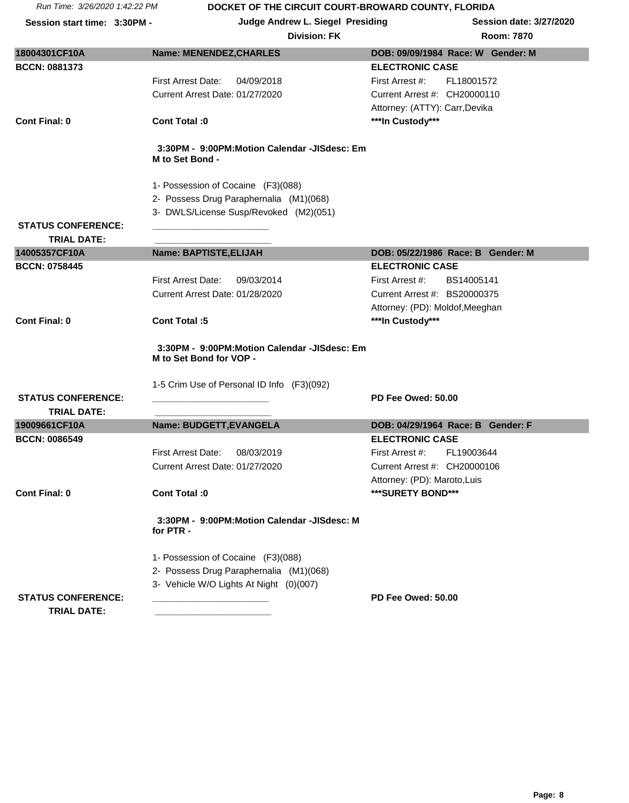Session start time: 3:30PM - **Judge Andrew L. Siegel Presiding** Session date: 3/27/2020

### **Division: FK R**

| oom: 7870 |  |
|-----------|--|
|           |  |

| 18004301CF10A                                   | <b>Name: MENENDEZ, CHARLES</b>                                                                                        | DOB: 09/09/1984 Race: W Gender: M |
|-------------------------------------------------|-----------------------------------------------------------------------------------------------------------------------|-----------------------------------|
| <b>BCCN: 0881373</b>                            |                                                                                                                       | <b>ELECTRONIC CASE</b>            |
|                                                 | First Arrest Date:<br>04/09/2018                                                                                      | First Arrest #:<br>FL18001572     |
|                                                 | Current Arrest Date: 01/27/2020                                                                                       | Current Arrest #: CH20000110      |
|                                                 |                                                                                                                       | Attorney: (ATTY): Carr, Devika    |
| <b>Cont Final: 0</b>                            | Cont Total: 0                                                                                                         | ***In Custody***                  |
|                                                 | 3:30PM - 9:00PM:Motion Calendar -JISdesc: Em<br>M to Set Bond -                                                       |                                   |
|                                                 | 1- Possession of Cocaine (F3)(088)                                                                                    |                                   |
|                                                 | 2- Possess Drug Paraphernalia (M1)(068)                                                                               |                                   |
|                                                 | 3- DWLS/License Susp/Revoked (M2)(051)                                                                                |                                   |
| <b>STATUS CONFERENCE:</b>                       |                                                                                                                       |                                   |
| <b>TRIAL DATE:</b>                              |                                                                                                                       |                                   |
| 14005357CF10A                                   | Name: BAPTISTE, ELIJAH                                                                                                | DOB: 05/22/1986 Race: B Gender: M |
| <b>BCCN: 0758445</b>                            |                                                                                                                       | <b>ELECTRONIC CASE</b>            |
|                                                 | First Arrest Date:<br>09/03/2014                                                                                      | First Arrest #:<br>BS14005141     |
|                                                 | Current Arrest Date: 01/28/2020                                                                                       | Current Arrest #: BS20000375      |
|                                                 |                                                                                                                       | Attorney: (PD): Moldof, Meeghan   |
| <b>Cont Final: 0</b>                            | <b>Cont Total:5</b>                                                                                                   | ***In Custody***                  |
|                                                 | 3:30PM - 9:00PM:Motion Calendar -JISdesc: Em<br>M to Set Bond for VOP -<br>1-5 Crim Use of Personal ID Info (F3)(092) |                                   |
| <b>STATUS CONFERENCE:</b>                       |                                                                                                                       | PD Fee Owed: 50.00                |
| <b>TRIAL DATE:</b>                              |                                                                                                                       |                                   |
| 19009661CF10A                                   | Name: BUDGETT, EVANGELA                                                                                               | DOB: 04/29/1964 Race: B Gender: F |
| <b>BCCN: 0086549</b>                            |                                                                                                                       | <b>ELECTRONIC CASE</b>            |
|                                                 | <b>First Arrest Date:</b><br>08/03/2019                                                                               | First Arrest #:<br>FL19003644     |
|                                                 | Current Arrest Date: 01/27/2020                                                                                       | Current Arrest #: CH20000106      |
|                                                 |                                                                                                                       | Attorney: (PD): Maroto, Luis      |
| <b>Cont Final: 0</b>                            | Cont Total: 0                                                                                                         | ***SURETY BOND***                 |
|                                                 | 3:30PM - 9:00PM:Motion Calendar -JISdesc: M<br>for PTR -                                                              |                                   |
|                                                 | 1- Possession of Cocaine (F3)(088)                                                                                    |                                   |
|                                                 | 2- Possess Drug Paraphernalia (M1)(068)                                                                               |                                   |
|                                                 | 3- Vehicle W/O Lights At Night (0)(007)                                                                               |                                   |
| <b>STATUS CONFERENCE:</b><br><b>TRIAL DATE:</b> |                                                                                                                       | PD Fee Owed: 50.00                |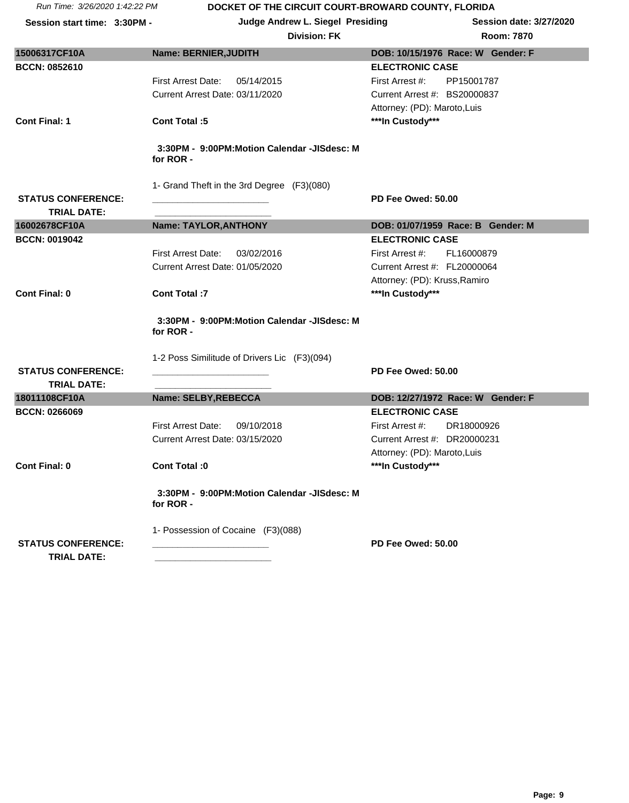|                                                 | <b>Division: FK</b>                                      |                               | <b>Room: 7870</b>                 |
|-------------------------------------------------|----------------------------------------------------------|-------------------------------|-----------------------------------|
| 15006317CF10A                                   | Name: BERNIER, JUDITH                                    |                               | DOB: 10/15/1976 Race: W Gender: F |
| <b>BCCN: 0852610</b>                            |                                                          | <b>ELECTRONIC CASE</b>        |                                   |
|                                                 | <b>First Arrest Date:</b><br>05/14/2015                  | First Arrest #:               | PP15001787                        |
|                                                 | Current Arrest Date: 03/11/2020                          | Current Arrest #: BS20000837  |                                   |
|                                                 |                                                          | Attorney: (PD): Maroto, Luis  |                                   |
| <b>Cont Final: 1</b>                            | Cont Total :5                                            | ***In Custody***              |                                   |
|                                                 | 3:30PM - 9:00PM:Motion Calendar -JISdesc: M<br>for ROR - |                               |                                   |
|                                                 | 1- Grand Theft in the 3rd Degree (F3)(080)               |                               |                                   |
| <b>STATUS CONFERENCE:</b>                       |                                                          | PD Fee Owed: 50.00            |                                   |
| <b>TRIAL DATE:</b>                              |                                                          |                               |                                   |
| 16002678CF10A                                   | Name: TAYLOR, ANTHONY                                    |                               | DOB: 01/07/1959 Race: B Gender: M |
| <b>BCCN: 0019042</b>                            |                                                          | <b>ELECTRONIC CASE</b>        |                                   |
|                                                 | First Arrest Date:<br>03/02/2016                         | First Arrest #:               | FL16000879                        |
|                                                 | Current Arrest Date: 01/05/2020                          | Current Arrest #: FL20000064  |                                   |
|                                                 |                                                          | Attorney: (PD): Kruss, Ramiro |                                   |
| <b>Cont Final: 0</b>                            | <b>Cont Total:7</b>                                      | ***In Custody***              |                                   |
|                                                 | 3:30PM - 9:00PM:Motion Calendar -JISdesc: M<br>for ROR - |                               |                                   |
|                                                 | 1-2 Poss Similitude of Drivers Lic (F3)(094)             |                               |                                   |
| <b>STATUS CONFERENCE:</b>                       |                                                          | PD Fee Owed: 50.00            |                                   |
| <b>TRIAL DATE:</b>                              |                                                          |                               |                                   |
| 18011108CF10A                                   | Name: SELBY, REBECCA                                     |                               | DOB: 12/27/1972 Race: W Gender: F |
| <b>BCCN: 0266069</b>                            |                                                          | <b>ELECTRONIC CASE</b>        |                                   |
|                                                 | <b>First Arrest Date:</b><br>09/10/2018                  | First Arrest #:               | DR18000926                        |
|                                                 | Current Arrest Date: 03/15/2020                          | Current Arrest #: DR20000231  |                                   |
|                                                 |                                                          | Attorney: (PD): Maroto, Luis  |                                   |
| <b>Cont Final: 0</b>                            | Cont Total: 0                                            | ***In Custody***              |                                   |
|                                                 | 3:30PM - 9:00PM:Motion Calendar -JISdesc: M<br>for ROR - |                               |                                   |
|                                                 | 1- Possession of Cocaine (F3)(088)                       |                               |                                   |
| <b>STATUS CONFERENCE:</b><br><b>TRIAL DATE:</b> |                                                          | PD Fee Owed: 50.00            |                                   |
|                                                 |                                                          |                               |                                   |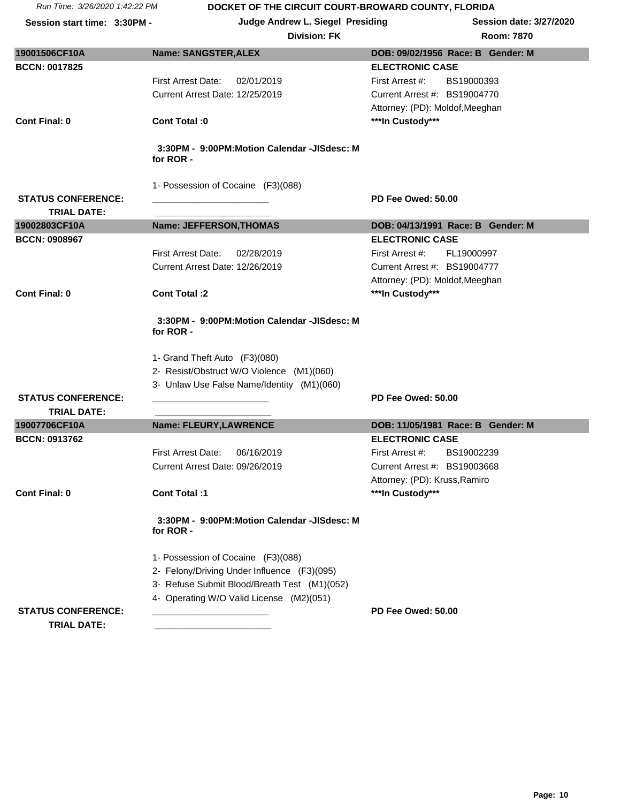| <b>Division: FK</b> | <b>Room: 7870</b> |
|---------------------|-------------------|
|                     |                   |

| 19001506CF10A                                   | <b>Name: SANGSTER, ALEX</b>                              | DOB: 09/02/1956 Race: B Gender: M |
|-------------------------------------------------|----------------------------------------------------------|-----------------------------------|
| <b>BCCN: 0017825</b>                            |                                                          | <b>ELECTRONIC CASE</b>            |
|                                                 | First Arrest Date:<br>02/01/2019                         | First Arrest #:<br>BS19000393     |
|                                                 | Current Arrest Date: 12/25/2019                          | Current Arrest #: BS19004770      |
|                                                 |                                                          | Attorney: (PD): Moldof, Meeghan   |
| <b>Cont Final: 0</b>                            | Cont Total :0                                            | ***In Custody***                  |
|                                                 |                                                          |                                   |
|                                                 | 3:30PM - 9:00PM:Motion Calendar -JISdesc: M<br>for ROR - |                                   |
|                                                 | 1- Possession of Cocaine (F3)(088)                       |                                   |
| <b>STATUS CONFERENCE:</b>                       |                                                          | PD Fee Owed: 50.00                |
| <b>TRIAL DATE:</b>                              |                                                          |                                   |
| 19002803CF10A                                   | <b>Name: JEFFERSON, THOMAS</b>                           | DOB: 04/13/1991 Race: B Gender: M |
| <b>BCCN: 0908967</b>                            |                                                          | <b>ELECTRONIC CASE</b>            |
|                                                 | <b>First Arrest Date:</b><br>02/28/2019                  | First Arrest #:<br>FL19000997     |
|                                                 | Current Arrest Date: 12/26/2019                          | Current Arrest #: BS19004777      |
|                                                 |                                                          | Attorney: (PD): Moldof, Meeghan   |
| <b>Cont Final: 0</b>                            | Cont Total:2                                             | ***In Custody***                  |
|                                                 | 3:30PM - 9:00PM:Motion Calendar -JISdesc: M<br>for ROR - |                                   |
|                                                 | 1- Grand Theft Auto (F3)(080)                            |                                   |
|                                                 | 2- Resist/Obstruct W/O Violence (M1)(060)                |                                   |
|                                                 | 3- Unlaw Use False Name/Identity (M1)(060)               |                                   |
| <b>STATUS CONFERENCE:</b><br><b>TRIAL DATE:</b> |                                                          | PD Fee Owed: 50.00                |
| 19007706CF10A                                   | Name: FLEURY, LAWRENCE                                   | DOB: 11/05/1981 Race: B Gender: M |
| <b>BCCN: 0913762</b>                            |                                                          | <b>ELECTRONIC CASE</b>            |
|                                                 | 06/16/2019<br><b>First Arrest Date:</b>                  | BS19002239<br>First Arrest #:     |
|                                                 | Current Arrest Date: 09/26/2019                          | Current Arrest #: BS19003668      |
|                                                 |                                                          | Attorney: (PD): Kruss, Ramiro     |
| Cont Final: 0                                   | <b>Cont Total:1</b>                                      | ***In Custody***                  |
|                                                 | 3:30PM - 9:00PM:Motion Calendar -JISdesc: M<br>for ROR - |                                   |
|                                                 | 1- Possession of Cocaine (F3)(088)                       |                                   |
|                                                 | 2- Felony/Driving Under Influence (F3)(095)              |                                   |
|                                                 | 3- Refuse Submit Blood/Breath Test (M1)(052)             |                                   |
|                                                 | 4- Operating W/O Valid License (M2)(051)                 |                                   |
| <b>STATUS CONFERENCE:</b>                       |                                                          | PD Fee Owed: 50.00                |
| <b>TRIAL DATE:</b>                              |                                                          |                                   |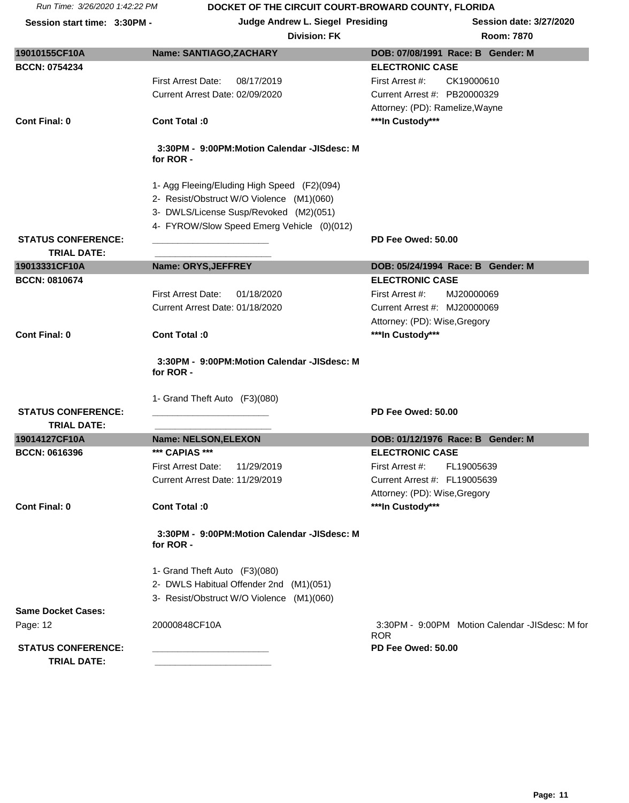| <b>Division: FK</b> | <b>Room: 7870</b> |
|---------------------|-------------------|
|---------------------|-------------------|

| 19010155CF10A                                   | Name: SANTIAGO, ZACHARY                                  | DOB: 07/08/1991 Race: B Gender: M                             |
|-------------------------------------------------|----------------------------------------------------------|---------------------------------------------------------------|
| <b>BCCN: 0754234</b>                            |                                                          | <b>ELECTRONIC CASE</b>                                        |
|                                                 | <b>First Arrest Date:</b><br>08/17/2019                  | CK19000610<br>First Arrest #:                                 |
|                                                 | Current Arrest Date: 02/09/2020                          | Current Arrest #: PB20000329                                  |
|                                                 |                                                          | Attorney: (PD): Ramelize, Wayne                               |
| <b>Cont Final: 0</b>                            | Cont Total: 0                                            | ***In Custody***                                              |
|                                                 | 3:30PM - 9:00PM:Motion Calendar -JISdesc: M<br>for ROR - |                                                               |
|                                                 | 1- Agg Fleeing/Eluding High Speed (F2)(094)              |                                                               |
|                                                 | 2- Resist/Obstruct W/O Violence (M1)(060)                |                                                               |
|                                                 | 3- DWLS/License Susp/Revoked (M2)(051)                   |                                                               |
|                                                 | 4- FYROW/Slow Speed Emerg Vehicle (0)(012)               |                                                               |
| <b>STATUS CONFERENCE:</b>                       |                                                          | PD Fee Owed: 50.00                                            |
| <b>TRIAL DATE:</b>                              |                                                          |                                                               |
| 19013331CF10A                                   | Name: ORYS, JEFFREY                                      | DOB: 05/24/1994 Race: B Gender: M                             |
| <b>BCCN: 0810674</b>                            |                                                          | <b>ELECTRONIC CASE</b>                                        |
|                                                 | <b>First Arrest Date:</b><br>01/18/2020                  | First Arrest #:<br>MJ20000069                                 |
|                                                 | Current Arrest Date: 01/18/2020                          | Current Arrest #: MJ20000069                                  |
|                                                 | Cont Total: 0                                            | Attorney: (PD): Wise, Gregory                                 |
| <b>Cont Final: 0</b>                            |                                                          | ***In Custody***                                              |
|                                                 | 3:30PM - 9:00PM:Motion Calendar -JISdesc: M<br>for ROR - |                                                               |
|                                                 | 1- Grand Theft Auto (F3)(080)                            |                                                               |
| <b>STATUS CONFERENCE:</b><br><b>TRIAL DATE:</b> |                                                          | PD Fee Owed: 50.00                                            |
| 19014127CF10A                                   | Name: NELSON, ELEXON                                     | DOB: 01/12/1976 Race: B Gender: M                             |
| <b>BCCN: 0616396</b>                            | *** CAPIAS ***                                           | <b>ELECTRONIC CASE</b>                                        |
|                                                 | First Arrest Date:<br>11/29/2019                         | First Arrest #:<br>FL19005639                                 |
|                                                 | Current Arrest Date: 11/29/2019                          | Current Arrest #: FL19005639                                  |
|                                                 |                                                          | Attorney: (PD): Wise, Gregory                                 |
| <b>Cont Final: 0</b>                            | Cont Total :0                                            | ***In Custody***                                              |
|                                                 | 3:30PM - 9:00PM:Motion Calendar -JISdesc: M<br>for ROR - |                                                               |
|                                                 | 1- Grand Theft Auto (F3)(080)                            |                                                               |
|                                                 | 2- DWLS Habitual Offender 2nd (M1)(051)                  |                                                               |
|                                                 | 3- Resist/Obstruct W/O Violence (M1)(060)                |                                                               |
| <b>Same Docket Cases:</b>                       |                                                          |                                                               |
| Page: 12                                        | 20000848CF10A                                            | 3:30PM - 9:00PM Motion Calendar -JISdesc: M for<br><b>ROR</b> |
| <b>STATUS CONFERENCE:</b><br><b>TRIAL DATE:</b> |                                                          | PD Fee Owed: 50.00                                            |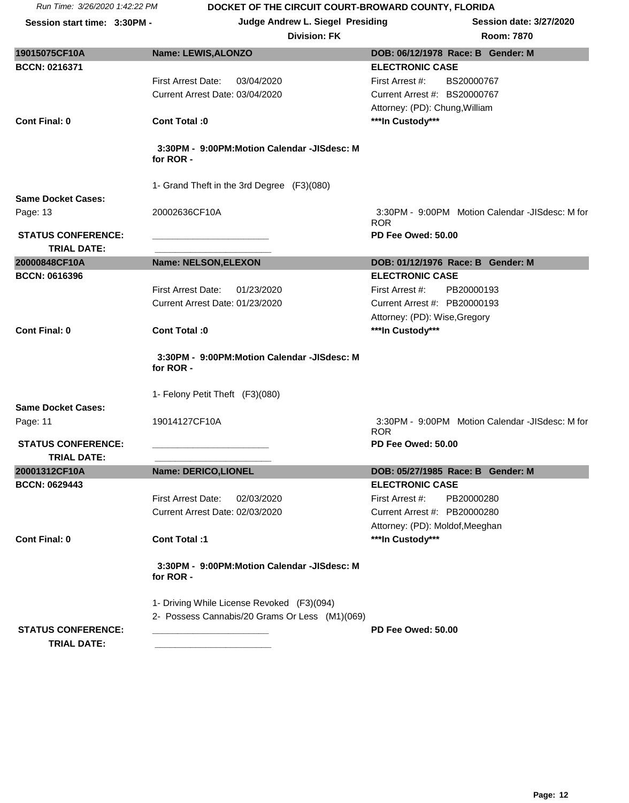Session start time: 3:30PM - **Judge Andrew L. Siegel Presiding** Session date: 3/27/2020

| oom: 7870 |  |
|-----------|--|
|           |  |

| 19015075CF10A                                   | Name: LEWIS, ALONZO                                      | DOB: 06/12/1978 Race: B Gender: M                             |
|-------------------------------------------------|----------------------------------------------------------|---------------------------------------------------------------|
| <b>BCCN: 0216371</b>                            |                                                          | <b>ELECTRONIC CASE</b>                                        |
|                                                 | <b>First Arrest Date:</b><br>03/04/2020                  | First Arrest #:<br>BS20000767                                 |
|                                                 | Current Arrest Date: 03/04/2020                          | Current Arrest #: BS20000767                                  |
|                                                 |                                                          | Attorney: (PD): Chung, William                                |
| <b>Cont Final: 0</b>                            | Cont Total: 0                                            | ***In Custody***                                              |
|                                                 | 3:30PM - 9:00PM:Motion Calendar -JISdesc: M<br>for ROR - |                                                               |
|                                                 | 1- Grand Theft in the 3rd Degree (F3)(080)               |                                                               |
| <b>Same Docket Cases:</b>                       |                                                          |                                                               |
| Page: 13                                        | 20002636CF10A                                            | 3:30PM - 9:00PM Motion Calendar -JISdesc: M for<br><b>ROR</b> |
| <b>STATUS CONFERENCE:</b>                       |                                                          | PD Fee Owed: 50.00                                            |
| <b>TRIAL DATE:</b>                              |                                                          |                                                               |
| 20000848CF10A                                   | Name: NELSON, ELEXON                                     | DOB: 01/12/1976 Race: B Gender: M                             |
| <b>BCCN: 0616396</b>                            |                                                          | <b>ELECTRONIC CASE</b>                                        |
|                                                 | <b>First Arrest Date:</b><br>01/23/2020                  | First Arrest #:<br>PB20000193                                 |
|                                                 | Current Arrest Date: 01/23/2020                          | Current Arrest #: PB20000193                                  |
|                                                 |                                                          | Attorney: (PD): Wise, Gregory                                 |
| <b>Cont Final: 0</b>                            | Cont Total: 0                                            | ***In Custody***                                              |
|                                                 | 3:30PM - 9:00PM:Motion Calendar -JISdesc: M<br>for ROR - |                                                               |
|                                                 | 1- Felony Petit Theft (F3)(080)                          |                                                               |
| <b>Same Docket Cases:</b>                       |                                                          |                                                               |
| Page: 11                                        | 19014127CF10A                                            | 3:30PM - 9:00PM Motion Calendar -JISdesc: M for<br><b>ROR</b> |
| <b>STATUS CONFERENCE:</b>                       |                                                          | PD Fee Owed: 50.00                                            |
| <b>TRIAL DATE:</b>                              |                                                          |                                                               |
| 20001312CF10A                                   | Name: DERICO,LIONEL                                      | DOB: 05/27/1985 Race: B Gender: M                             |
| <b>BCCN: 0629443</b>                            |                                                          | <b>ELECTRONIC CASE</b>                                        |
|                                                 | First Arrest Date:<br>02/03/2020                         | First Arrest #:<br>PB20000280                                 |
|                                                 | Current Arrest Date: 02/03/2020                          | Current Arrest #: PB20000280                                  |
|                                                 |                                                          | Attorney: (PD): Moldof, Meeghan                               |
| <b>Cont Final: 0</b>                            | Cont Total :1                                            | ***In Custody***                                              |
|                                                 | 3:30PM - 9:00PM:Motion Calendar -JISdesc: M<br>for ROR - |                                                               |
|                                                 | 1- Driving While License Revoked (F3)(094)               |                                                               |
| <b>STATUS CONFERENCE:</b><br><b>TRIAL DATE:</b> | 2- Possess Cannabis/20 Grams Or Less (M1)(069)           | PD Fee Owed: 50.00                                            |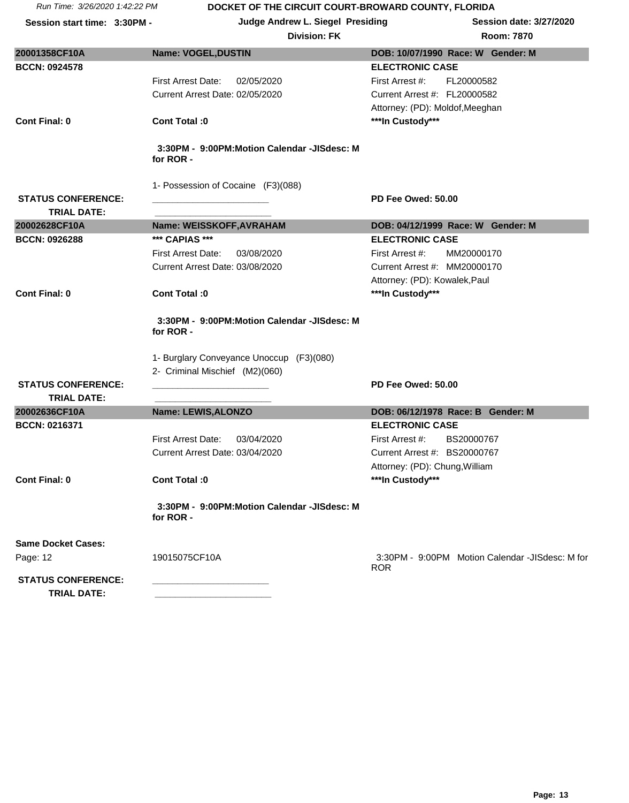| <b>Division: FK</b> | <b>Room: 7870</b> |
|---------------------|-------------------|
|                     |                   |

| 20001358CF10A                                   | Name: VOGEL, DUSTIN                                                                                  | DOB: 10/07/1990 Race: W Gender: M               |
|-------------------------------------------------|------------------------------------------------------------------------------------------------------|-------------------------------------------------|
| <b>BCCN: 0924578</b>                            |                                                                                                      | <b>ELECTRONIC CASE</b>                          |
|                                                 | 02/05/2020<br><b>First Arrest Date:</b>                                                              | FL20000582<br>First Arrest #:                   |
|                                                 | Current Arrest Date: 02/05/2020                                                                      | Current Arrest #: FL20000582                    |
|                                                 |                                                                                                      | Attorney: (PD): Moldof, Meeghan                 |
| Cont Final: 0                                   | Cont Total :0                                                                                        | ***In Custody***                                |
|                                                 | 3:30PM - 9:00PM:Motion Calendar -JISdesc: M<br>for ROR -                                             |                                                 |
|                                                 | 1- Possession of Cocaine (F3)(088)                                                                   |                                                 |
| <b>STATUS CONFERENCE:</b>                       |                                                                                                      | PD Fee Owed: 50.00                              |
| <b>TRIAL DATE:</b>                              |                                                                                                      |                                                 |
| 20002628CF10A                                   | Name: WEISSKOFF, AVRAHAM                                                                             | DOB: 04/12/1999 Race: W Gender: M               |
| <b>BCCN: 0926288</b>                            | *** CAPIAS ***                                                                                       | <b>ELECTRONIC CASE</b>                          |
|                                                 | First Arrest Date:<br>03/08/2020                                                                     | First Arrest #:<br>MM20000170                   |
|                                                 | Current Arrest Date: 03/08/2020                                                                      | Current Arrest #: MM20000170                    |
|                                                 |                                                                                                      | Attorney: (PD): Kowalek, Paul                   |
| Cont Final: 0                                   | Cont Total :0                                                                                        | ***In Custody***                                |
|                                                 | 3:30PM - 9:00PM:Motion Calendar -JISdesc: M<br>for ROR -<br>1- Burglary Conveyance Unoccup (F3)(080) |                                                 |
|                                                 | 2- Criminal Mischief (M2)(060)                                                                       |                                                 |
| <b>STATUS CONFERENCE:</b><br><b>TRIAL DATE:</b> |                                                                                                      | PD Fee Owed: 50.00                              |
| 20002636CF10A                                   | Name: LEWIS, ALONZO                                                                                  | DOB: 06/12/1978 Race: B Gender: M               |
| <b>BCCN: 0216371</b>                            |                                                                                                      | <b>ELECTRONIC CASE</b>                          |
|                                                 | <b>First Arrest Date:</b><br>03/04/2020                                                              | BS20000767<br>First Arrest #:                   |
|                                                 | Current Arrest Date: 03/04/2020                                                                      | Current Arrest #: BS20000767                    |
|                                                 |                                                                                                      | Attorney: (PD): Chung, William                  |
| <b>Cont Final: 0</b>                            | Cont Total: 0                                                                                        | ***In Custody***                                |
|                                                 | 3:30PM - 9:00PM:Motion Calendar -JISdesc: M<br>for ROR -                                             |                                                 |
| <b>Same Docket Cases:</b>                       |                                                                                                      |                                                 |
| Page: 12                                        | 19015075CF10A                                                                                        | 3:30PM - 9:00PM Motion Calendar -JISdesc: M for |
|                                                 |                                                                                                      | <b>ROR</b>                                      |
| <b>STATUS CONFERENCE:</b><br><b>TRIAL DATE:</b> |                                                                                                      |                                                 |
|                                                 |                                                                                                      |                                                 |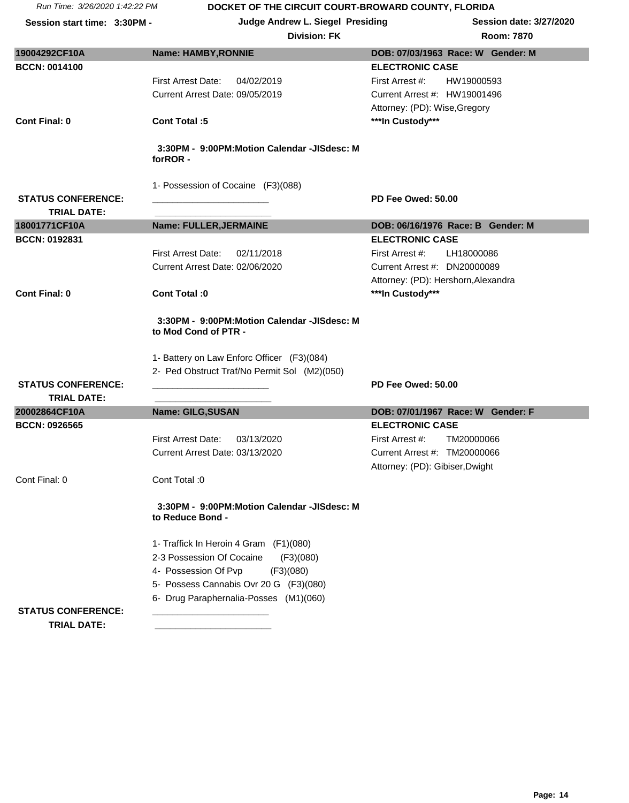**Session start time: 3:30PM - <br>
<b>Judge Andrew L. Siegel Presiding Session date: 3/27/2020** 

|                                                                     | DOB: 07/03/1963 Race: W Gender: M                                                                                                                                                                                                                                                                                                                                                                                                                                                                         |
|---------------------------------------------------------------------|-----------------------------------------------------------------------------------------------------------------------------------------------------------------------------------------------------------------------------------------------------------------------------------------------------------------------------------------------------------------------------------------------------------------------------------------------------------------------------------------------------------|
|                                                                     | <b>ELECTRONIC CASE</b>                                                                                                                                                                                                                                                                                                                                                                                                                                                                                    |
|                                                                     | First Arrest #:<br>HW19000593                                                                                                                                                                                                                                                                                                                                                                                                                                                                             |
|                                                                     | Current Arrest #: HW19001496                                                                                                                                                                                                                                                                                                                                                                                                                                                                              |
|                                                                     | Attorney: (PD): Wise, Gregory                                                                                                                                                                                                                                                                                                                                                                                                                                                                             |
| <b>Cont Total:5</b>                                                 | ***In Custody***                                                                                                                                                                                                                                                                                                                                                                                                                                                                                          |
|                                                                     |                                                                                                                                                                                                                                                                                                                                                                                                                                                                                                           |
| 3:30PM - 9:00PM:Motion Calendar -JISdesc: M<br>forROR-              |                                                                                                                                                                                                                                                                                                                                                                                                                                                                                                           |
| 1- Possession of Cocaine (F3)(088)                                  |                                                                                                                                                                                                                                                                                                                                                                                                                                                                                                           |
|                                                                     | PD Fee Owed: 50.00                                                                                                                                                                                                                                                                                                                                                                                                                                                                                        |
|                                                                     | DOB: 06/16/1976 Race: B Gender: M                                                                                                                                                                                                                                                                                                                                                                                                                                                                         |
|                                                                     | <b>ELECTRONIC CASE</b>                                                                                                                                                                                                                                                                                                                                                                                                                                                                                    |
|                                                                     | First Arrest #:<br>LH18000086                                                                                                                                                                                                                                                                                                                                                                                                                                                                             |
| Current Arrest Date: 02/06/2020                                     | Current Arrest #: DN20000089                                                                                                                                                                                                                                                                                                                                                                                                                                                                              |
|                                                                     | Attorney: (PD): Hershorn, Alexandra                                                                                                                                                                                                                                                                                                                                                                                                                                                                       |
| Cont Total: 0                                                       | ***In Custody***                                                                                                                                                                                                                                                                                                                                                                                                                                                                                          |
|                                                                     |                                                                                                                                                                                                                                                                                                                                                                                                                                                                                                           |
| 3:30PM - 9:00PM:Motion Calendar -JISdesc: M<br>to Mod Cond of PTR - |                                                                                                                                                                                                                                                                                                                                                                                                                                                                                                           |
|                                                                     |                                                                                                                                                                                                                                                                                                                                                                                                                                                                                                           |
|                                                                     |                                                                                                                                                                                                                                                                                                                                                                                                                                                                                                           |
|                                                                     | PD Fee Owed: 50.00                                                                                                                                                                                                                                                                                                                                                                                                                                                                                        |
|                                                                     |                                                                                                                                                                                                                                                                                                                                                                                                                                                                                                           |
| Name: GILG, SUSAN                                                   | DOB: 07/01/1967 Race: W Gender: F                                                                                                                                                                                                                                                                                                                                                                                                                                                                         |
|                                                                     | <b>ELECTRONIC CASE</b>                                                                                                                                                                                                                                                                                                                                                                                                                                                                                    |
| <b>First Arrest Date:</b><br>03/13/2020                             | First Arrest #:<br>TM20000066                                                                                                                                                                                                                                                                                                                                                                                                                                                                             |
| Current Arrest Date: 03/13/2020                                     | Current Arrest #: TM20000066                                                                                                                                                                                                                                                                                                                                                                                                                                                                              |
|                                                                     | Attorney: (PD): Gibiser, Dwight                                                                                                                                                                                                                                                                                                                                                                                                                                                                           |
|                                                                     |                                                                                                                                                                                                                                                                                                                                                                                                                                                                                                           |
| 3:30PM - 9:00PM:Motion Calendar -JISdesc: M<br>to Reduce Bond -     |                                                                                                                                                                                                                                                                                                                                                                                                                                                                                                           |
|                                                                     |                                                                                                                                                                                                                                                                                                                                                                                                                                                                                                           |
|                                                                     |                                                                                                                                                                                                                                                                                                                                                                                                                                                                                                           |
|                                                                     |                                                                                                                                                                                                                                                                                                                                                                                                                                                                                                           |
|                                                                     |                                                                                                                                                                                                                                                                                                                                                                                                                                                                                                           |
|                                                                     |                                                                                                                                                                                                                                                                                                                                                                                                                                                                                                           |
|                                                                     |                                                                                                                                                                                                                                                                                                                                                                                                                                                                                                           |
|                                                                     | <b>Name: HAMBY, RONNIE</b><br><b>First Arrest Date:</b><br>04/02/2019<br>Current Arrest Date: 09/05/2019<br>Name: FULLER, JERMAINE<br><b>First Arrest Date:</b><br>02/11/2018<br>1- Battery on Law Enforc Officer (F3)(084)<br>2- Ped Obstruct Traf/No Permit Sol (M2)(050)<br>Cont Total: 0<br>1- Traffick In Heroin 4 Gram (F1)(080)<br>2-3 Possession Of Cocaine<br>(F3)(080)<br>4- Possession Of Pvp<br>(F3)(080)<br>5- Possess Cannabis Ovr 20 G (F3)(080)<br>6- Drug Paraphernalia-Posses (M1)(060) |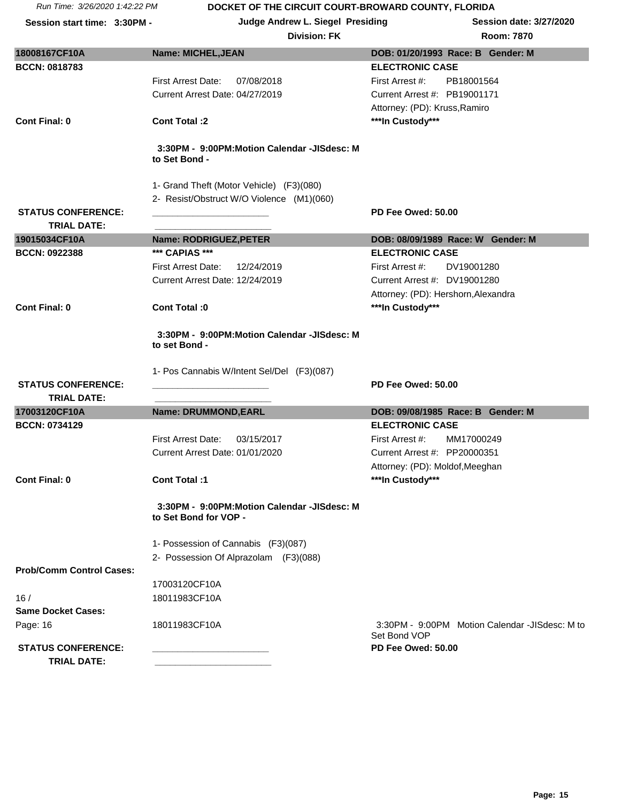| Run Time: 3/26/2020 1:42:22 PM                  | DOCKET OF THE CIRCUIT COURT-BROWARD COUNTY, FLORIDA                  |                                                                |
|-------------------------------------------------|----------------------------------------------------------------------|----------------------------------------------------------------|
| Session start time: 3:30PM -                    | Judge Andrew L. Siegel Presiding<br><b>Division: FK</b>              | <b>Session date: 3/27/2020</b><br><b>Room: 7870</b>            |
| 18008167CF10A                                   | <b>Name: MICHEL, JEAN</b>                                            | DOB: 01/20/1993 Race: B Gender: M                              |
| <b>BCCN: 0818783</b>                            |                                                                      | <b>ELECTRONIC CASE</b>                                         |
|                                                 | First Arrest Date:<br>07/08/2018                                     | First Arrest #:<br>PB18001564                                  |
|                                                 | Current Arrest Date: 04/27/2019                                      | Current Arrest #: PB19001171                                   |
|                                                 |                                                                      | Attorney: (PD): Kruss, Ramiro                                  |
| <b>Cont Final: 0</b>                            | <b>Cont Total:2</b>                                                  | ***In Custody***                                               |
|                                                 | 3:30PM - 9:00PM:Motion Calendar -JISdesc: M<br>to Set Bond -         |                                                                |
|                                                 | 1- Grand Theft (Motor Vehicle) (F3)(080)                             |                                                                |
|                                                 | 2- Resist/Obstruct W/O Violence (M1)(060)                            |                                                                |
| <b>STATUS CONFERENCE:</b><br><b>TRIAL DATE:</b> |                                                                      | PD Fee Owed: 50.00                                             |
| 19015034CF10A                                   | Name: RODRIGUEZ, PETER                                               | DOB: 08/09/1989 Race: W Gender: M                              |
| BCCN: 0922388                                   | *** CAPIAS ***                                                       | <b>ELECTRONIC CASE</b>                                         |
|                                                 | First Arrest Date:<br>12/24/2019                                     | First Arrest #:<br>DV19001280                                  |
|                                                 | Current Arrest Date: 12/24/2019                                      | Current Arrest #: DV19001280                                   |
|                                                 |                                                                      | Attorney: (PD): Hershorn, Alexandra                            |
| <b>Cont Final: 0</b>                            | Cont Total: 0                                                        | ***In Custody***                                               |
|                                                 | 3:30PM - 9:00PM:Motion Calendar -JISdesc: M<br>to set Bond -         |                                                                |
|                                                 | 1- Pos Cannabis W/Intent Sel/Del (F3)(087)                           |                                                                |
| <b>STATUS CONFERENCE:</b>                       |                                                                      | PD Fee Owed: 50.00                                             |
| <b>TRIAL DATE:</b>                              |                                                                      |                                                                |
| 17003120CF10A                                   | Name: DRUMMOND, EARL                                                 | DOB: 09/08/1985 Race: B Gender: M                              |
| <b>BCCN: 0734129</b>                            | <b>First Arrest Date:</b><br>03/15/2017                              | <b>ELECTRONIC CASE</b><br>First Arrest #:<br>MM17000249        |
|                                                 | Current Arrest Date: 01/01/2020                                      | Current Arrest #: PP20000351                                   |
|                                                 |                                                                      | Attorney: (PD): Moldof, Meeghan                                |
| <b>Cont Final: 0</b>                            | Cont Total:1                                                         | ***In Custody***                                               |
|                                                 | 3:30PM - 9:00PM:Motion Calendar -JISdesc: M<br>to Set Bond for VOP - |                                                                |
|                                                 | 1- Possession of Cannabis (F3)(087)                                  |                                                                |
|                                                 | 2- Possession Of Alprazolam (F3)(088)                                |                                                                |
| <b>Prob/Comm Control Cases:</b>                 |                                                                      |                                                                |
|                                                 | 17003120CF10A                                                        |                                                                |
| 16/                                             | 18011983CF10A                                                        |                                                                |
| <b>Same Docket Cases:</b>                       |                                                                      |                                                                |
| Page: 16                                        | 18011983CF10A                                                        | 3:30PM - 9:00PM Motion Calendar -JISdesc: M to<br>Set Bond VOP |
| <b>STATUS CONFERENCE:</b>                       |                                                                      | PD Fee Owed: 50.00                                             |
| <b>TRIAL DATE:</b>                              |                                                                      |                                                                |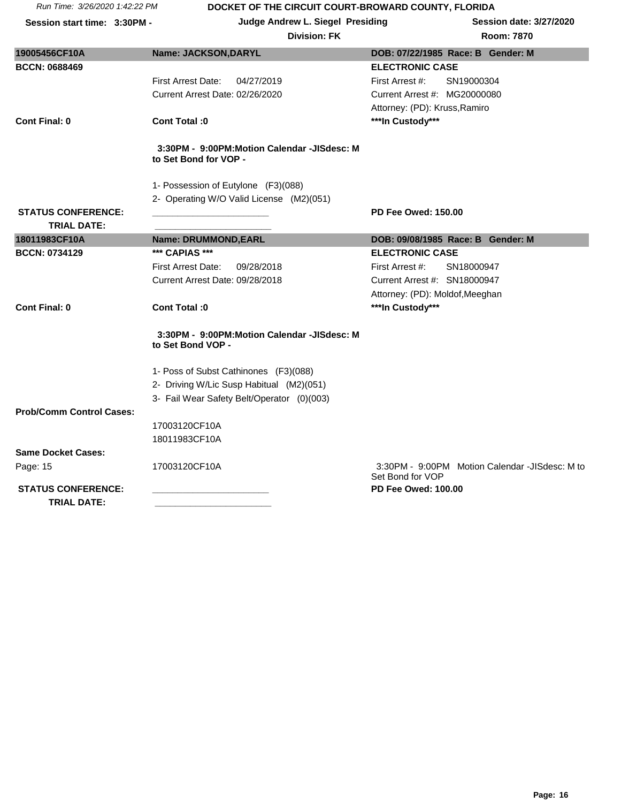**Session start time: 3:30PM - <br>
<b>Judge Andrew L. Siegel Presiding Session date: 3/27/2020** 

| 19005456CF10A                   | Name: JACKSON, DARYL                                                 | DOB: 07/22/1985 Race: B Gender: M                                  |
|---------------------------------|----------------------------------------------------------------------|--------------------------------------------------------------------|
| <b>BCCN: 0688469</b>            |                                                                      | <b>ELECTRONIC CASE</b>                                             |
|                                 | <b>First Arrest Date:</b><br>04/27/2019                              | SN19000304<br>First Arrest #:                                      |
|                                 | Current Arrest Date: 02/26/2020                                      | Current Arrest #: MG20000080                                       |
|                                 |                                                                      | Attorney: (PD): Kruss, Ramiro                                      |
| Cont Final: 0                   | Cont Total: 0                                                        | ***In Custody***                                                   |
|                                 |                                                                      |                                                                    |
|                                 | 3:30PM - 9:00PM:Motion Calendar -JISdesc: M<br>to Set Bond for VOP - |                                                                    |
|                                 | 1- Possession of Eutylone (F3)(088)                                  |                                                                    |
|                                 | 2- Operating W/O Valid License (M2)(051)                             |                                                                    |
| <b>STATUS CONFERENCE:</b>       |                                                                      | <b>PD Fee Owed: 150.00</b>                                         |
| <b>TRIAL DATE:</b>              |                                                                      |                                                                    |
| 18011983CF10A                   | Name: DRUMMOND, EARL                                                 | DOB: 09/08/1985 Race: B Gender: M                                  |
| <b>BCCN: 0734129</b>            | *** CAPIAS ***                                                       | <b>ELECTRONIC CASE</b>                                             |
|                                 | 09/28/2018<br>First Arrest Date:                                     | First Arrest #:<br>SN18000947                                      |
|                                 | Current Arrest Date: 09/28/2018                                      | Current Arrest #: SN18000947                                       |
|                                 |                                                                      | Attorney: (PD): Moldof, Meeghan                                    |
| Cont Final: 0                   | Cont Total: 0                                                        | ***In Custody***                                                   |
|                                 | 3:30PM - 9:00PM:Motion Calendar -JISdesc: M<br>to Set Bond VOP -     |                                                                    |
|                                 | 1- Poss of Subst Cathinones (F3)(088)                                |                                                                    |
|                                 | 2- Driving W/Lic Susp Habitual (M2)(051)                             |                                                                    |
|                                 | 3- Fail Wear Safety Belt/Operator (0)(003)                           |                                                                    |
| <b>Prob/Comm Control Cases:</b> |                                                                      |                                                                    |
|                                 | 17003120CF10A                                                        |                                                                    |
|                                 | 18011983CF10A                                                        |                                                                    |
| <b>Same Docket Cases:</b>       |                                                                      |                                                                    |
| Page: 15                        | 17003120CF10A                                                        | 3:30PM - 9:00PM Motion Calendar -JISdesc: M to<br>Set Bond for VOP |
| <b>STATUS CONFERENCE:</b>       |                                                                      | <b>PD Fee Owed: 100.00</b>                                         |
| <b>TRIAL DATE:</b>              |                                                                      |                                                                    |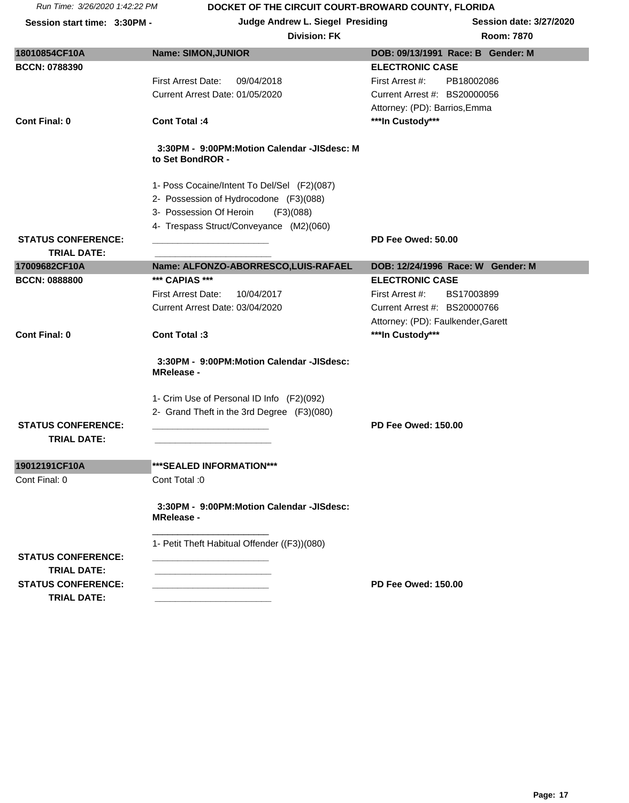**Session start time: 3:30PM - <br>
<b>Judge Andrew L. Siegel Presiding Session date: 3/27/2020** 

| <b>ELECTRONIC CASE</b><br>First Arrest Date:<br>09/04/2018<br>First Arrest #:<br>PB18002086<br>Current Arrest Date: 01/05/2020<br>Current Arrest #: BS20000056<br>Attorney: (PD): Barrios, Emma<br>***In Custody***<br><b>Cont Total: 4</b><br>3:30PM - 9:00PM:Motion Calendar -JISdesc: M<br>to Set BondROR -<br>1- Poss Cocaine/Intent To Del/Sel (F2)(087)<br>2- Possession of Hydrocodone (F3)(088)<br>3- Possession Of Heroin<br>(F3)(088)<br>4- Trespass Struct/Conveyance (M2)(060)<br>PD Fee Owed: 50.00<br><b>STATUS CONFERENCE:</b><br><b>TRIAL DATE:</b><br>17009682CF10A<br>Name: ALFONZO-ABORRESCO,LUIS-RAFAEL<br>DOB: 12/24/1996 Race: W Gender: M<br>*** CAPIAS ***<br><b>BCCN: 0888800</b><br><b>ELECTRONIC CASE</b><br>First Arrest Date:<br>10/04/2017<br>First Arrest #:<br>BS17003899<br>Current Arrest Date: 03/04/2020<br>Current Arrest #: BS20000766<br>Attorney: (PD): Faulkender, Garett<br>***In Custody***<br>Cont Final: 0<br>Cont Total:3<br>3:30PM - 9:00PM:Motion Calendar -JISdesc:<br><b>MRelease -</b><br>1- Crim Use of Personal ID Info (F2)(092)<br>2- Grand Theft in the 3rd Degree (F3)(080)<br><b>STATUS CONFERENCE:</b><br><b>PD Fee Owed: 150.00</b><br><b>TRIAL DATE:</b><br>***SEALED INFORMATION***<br>Cont Total: 0<br>3:30PM - 9:00PM:Motion Calendar -JISdesc:<br><b>MRelease -</b> | 18010854CF10A        | <b>Name: SIMON, JUNIOR</b> | DOB: 09/13/1991 Race: B Gender: M |
|--------------------------------------------------------------------------------------------------------------------------------------------------------------------------------------------------------------------------------------------------------------------------------------------------------------------------------------------------------------------------------------------------------------------------------------------------------------------------------------------------------------------------------------------------------------------------------------------------------------------------------------------------------------------------------------------------------------------------------------------------------------------------------------------------------------------------------------------------------------------------------------------------------------------------------------------------------------------------------------------------------------------------------------------------------------------------------------------------------------------------------------------------------------------------------------------------------------------------------------------------------------------------------------------------------------------------------------|----------------------|----------------------------|-----------------------------------|
|                                                                                                                                                                                                                                                                                                                                                                                                                                                                                                                                                                                                                                                                                                                                                                                                                                                                                                                                                                                                                                                                                                                                                                                                                                                                                                                                      | <b>BCCN: 0788390</b> |                            |                                   |
|                                                                                                                                                                                                                                                                                                                                                                                                                                                                                                                                                                                                                                                                                                                                                                                                                                                                                                                                                                                                                                                                                                                                                                                                                                                                                                                                      |                      |                            |                                   |
|                                                                                                                                                                                                                                                                                                                                                                                                                                                                                                                                                                                                                                                                                                                                                                                                                                                                                                                                                                                                                                                                                                                                                                                                                                                                                                                                      |                      |                            |                                   |
|                                                                                                                                                                                                                                                                                                                                                                                                                                                                                                                                                                                                                                                                                                                                                                                                                                                                                                                                                                                                                                                                                                                                                                                                                                                                                                                                      |                      |                            |                                   |
|                                                                                                                                                                                                                                                                                                                                                                                                                                                                                                                                                                                                                                                                                                                                                                                                                                                                                                                                                                                                                                                                                                                                                                                                                                                                                                                                      | <b>Cont Final: 0</b> |                            |                                   |
|                                                                                                                                                                                                                                                                                                                                                                                                                                                                                                                                                                                                                                                                                                                                                                                                                                                                                                                                                                                                                                                                                                                                                                                                                                                                                                                                      |                      |                            |                                   |
|                                                                                                                                                                                                                                                                                                                                                                                                                                                                                                                                                                                                                                                                                                                                                                                                                                                                                                                                                                                                                                                                                                                                                                                                                                                                                                                                      |                      |                            |                                   |
|                                                                                                                                                                                                                                                                                                                                                                                                                                                                                                                                                                                                                                                                                                                                                                                                                                                                                                                                                                                                                                                                                                                                                                                                                                                                                                                                      |                      |                            |                                   |
|                                                                                                                                                                                                                                                                                                                                                                                                                                                                                                                                                                                                                                                                                                                                                                                                                                                                                                                                                                                                                                                                                                                                                                                                                                                                                                                                      |                      |                            |                                   |
|                                                                                                                                                                                                                                                                                                                                                                                                                                                                                                                                                                                                                                                                                                                                                                                                                                                                                                                                                                                                                                                                                                                                                                                                                                                                                                                                      |                      |                            |                                   |
|                                                                                                                                                                                                                                                                                                                                                                                                                                                                                                                                                                                                                                                                                                                                                                                                                                                                                                                                                                                                                                                                                                                                                                                                                                                                                                                                      |                      |                            |                                   |
|                                                                                                                                                                                                                                                                                                                                                                                                                                                                                                                                                                                                                                                                                                                                                                                                                                                                                                                                                                                                                                                                                                                                                                                                                                                                                                                                      |                      |                            |                                   |
|                                                                                                                                                                                                                                                                                                                                                                                                                                                                                                                                                                                                                                                                                                                                                                                                                                                                                                                                                                                                                                                                                                                                                                                                                                                                                                                                      |                      |                            |                                   |
|                                                                                                                                                                                                                                                                                                                                                                                                                                                                                                                                                                                                                                                                                                                                                                                                                                                                                                                                                                                                                                                                                                                                                                                                                                                                                                                                      |                      |                            |                                   |
|                                                                                                                                                                                                                                                                                                                                                                                                                                                                                                                                                                                                                                                                                                                                                                                                                                                                                                                                                                                                                                                                                                                                                                                                                                                                                                                                      |                      |                            |                                   |
|                                                                                                                                                                                                                                                                                                                                                                                                                                                                                                                                                                                                                                                                                                                                                                                                                                                                                                                                                                                                                                                                                                                                                                                                                                                                                                                                      |                      |                            |                                   |
|                                                                                                                                                                                                                                                                                                                                                                                                                                                                                                                                                                                                                                                                                                                                                                                                                                                                                                                                                                                                                                                                                                                                                                                                                                                                                                                                      |                      |                            |                                   |
|                                                                                                                                                                                                                                                                                                                                                                                                                                                                                                                                                                                                                                                                                                                                                                                                                                                                                                                                                                                                                                                                                                                                                                                                                                                                                                                                      |                      |                            |                                   |
|                                                                                                                                                                                                                                                                                                                                                                                                                                                                                                                                                                                                                                                                                                                                                                                                                                                                                                                                                                                                                                                                                                                                                                                                                                                                                                                                      |                      |                            |                                   |
|                                                                                                                                                                                                                                                                                                                                                                                                                                                                                                                                                                                                                                                                                                                                                                                                                                                                                                                                                                                                                                                                                                                                                                                                                                                                                                                                      |                      |                            |                                   |
|                                                                                                                                                                                                                                                                                                                                                                                                                                                                                                                                                                                                                                                                                                                                                                                                                                                                                                                                                                                                                                                                                                                                                                                                                                                                                                                                      |                      |                            |                                   |
|                                                                                                                                                                                                                                                                                                                                                                                                                                                                                                                                                                                                                                                                                                                                                                                                                                                                                                                                                                                                                                                                                                                                                                                                                                                                                                                                      |                      |                            |                                   |
|                                                                                                                                                                                                                                                                                                                                                                                                                                                                                                                                                                                                                                                                                                                                                                                                                                                                                                                                                                                                                                                                                                                                                                                                                                                                                                                                      |                      |                            |                                   |
|                                                                                                                                                                                                                                                                                                                                                                                                                                                                                                                                                                                                                                                                                                                                                                                                                                                                                                                                                                                                                                                                                                                                                                                                                                                                                                                                      |                      |                            |                                   |
|                                                                                                                                                                                                                                                                                                                                                                                                                                                                                                                                                                                                                                                                                                                                                                                                                                                                                                                                                                                                                                                                                                                                                                                                                                                                                                                                      | 19012191CF10A        |                            |                                   |
|                                                                                                                                                                                                                                                                                                                                                                                                                                                                                                                                                                                                                                                                                                                                                                                                                                                                                                                                                                                                                                                                                                                                                                                                                                                                                                                                      | Cont Final: 0        |                            |                                   |
|                                                                                                                                                                                                                                                                                                                                                                                                                                                                                                                                                                                                                                                                                                                                                                                                                                                                                                                                                                                                                                                                                                                                                                                                                                                                                                                                      |                      |                            |                                   |
| 1- Petit Theft Habitual Offender ((F3))(080)                                                                                                                                                                                                                                                                                                                                                                                                                                                                                                                                                                                                                                                                                                                                                                                                                                                                                                                                                                                                                                                                                                                                                                                                                                                                                         |                      |                            |                                   |
| <b>STATUS CONFERENCE:</b>                                                                                                                                                                                                                                                                                                                                                                                                                                                                                                                                                                                                                                                                                                                                                                                                                                                                                                                                                                                                                                                                                                                                                                                                                                                                                                            |                      |                            |                                   |
| <b>TRIAL DATE:</b>                                                                                                                                                                                                                                                                                                                                                                                                                                                                                                                                                                                                                                                                                                                                                                                                                                                                                                                                                                                                                                                                                                                                                                                                                                                                                                                   |                      |                            |                                   |
| <b>STATUS CONFERENCE:</b><br><b>PD Fee Owed: 150.00</b>                                                                                                                                                                                                                                                                                                                                                                                                                                                                                                                                                                                                                                                                                                                                                                                                                                                                                                                                                                                                                                                                                                                                                                                                                                                                              |                      |                            |                                   |
| <b>TRIAL DATE:</b>                                                                                                                                                                                                                                                                                                                                                                                                                                                                                                                                                                                                                                                                                                                                                                                                                                                                                                                                                                                                                                                                                                                                                                                                                                                                                                                   |                      |                            |                                   |